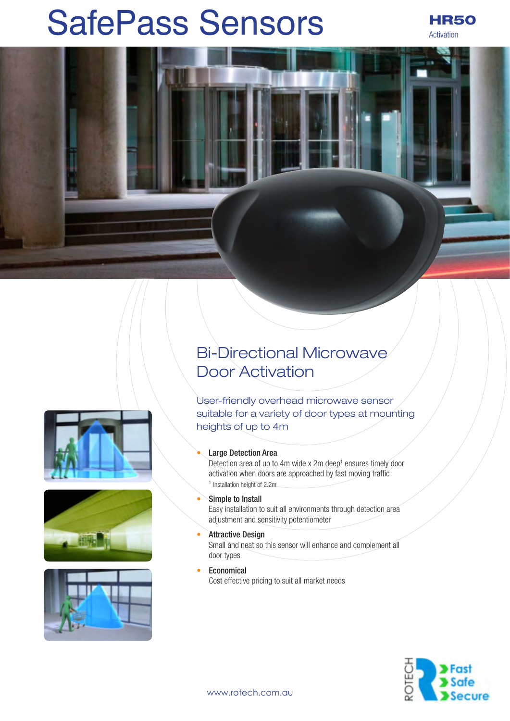# SafePass Sensors HR50

Activation









## Bi-Directional Microwave Door Activation

User-friendly overhead microwave sensor suitable for a variety of door types at mounting heights of up to 4m

#### **Large Detection Area**

Detection area of up to 4m wide x 2m deep<sup>1</sup> ensures timely door activation when doors are approached by fast moving traffic 1 Installation height of 2.2m

#### • Simple to Install

Easy installation to suit all environments through detection area adjustment and sensitivity potentiometer

- **Attractive Design** Small and neat so this sensor will enhance and complement all door types
- **Economical** Cost effective pricing to suit all market needs